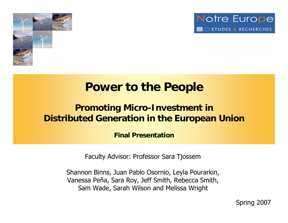



### **Power to the People**

### **Promoting Micro-Investment in Distributed Generation in the European Union**

**Final Presentation**

Faculty Advisor: Professor Sara Tjossem

Shannon Binns, Juan Pablo Osornio, Leyla Pourarkin, Vanessa Peña, Sara Roy, Jeff Smith, Rebecca Smith, Sam Wade, Sarah Wilson and Melissa Wright

Spring 2007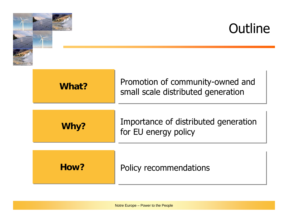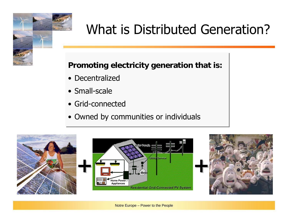# What is Distributed Generation?

#### **Promoting electricity generation that is: Promoting electricity generation that is:**

- Decentralized
- Small-scale
- Grid-connected
- Owned by communities or individuals Owned by communities or individuals

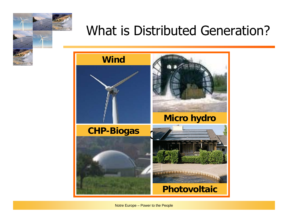## What is Distributed Generation?



Notre Europe – Power to the People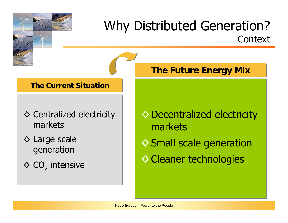### Why Distributed Generation? **Context**

#### **The Current Situation The Current Situation**

- ◊ Centralized electricity ◊ Centralized electricity markets
- ◊ Large scale ◊ Large scale generation generation
- $\diamond$  CO<sub>2</sub> intensive

#### **The Future Energy Mix The Future Energy Mix**

- ◊Decentralized electricity ◊Decentralized electricity markets markets
- ◇ Small scale generation
- ◊Cleaner technologies ◊Cleaner technologies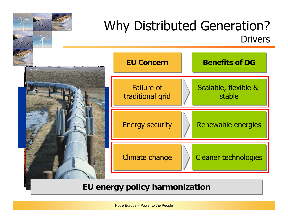

#### **EU energy policy harmonization**

http://www.power-technology.com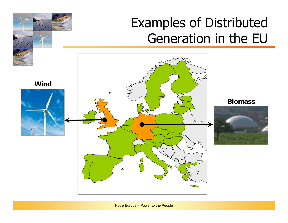## Examples of Distributed Generation in the EU

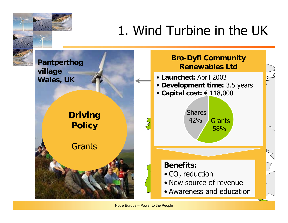# 1. Wind Turbine in the UK

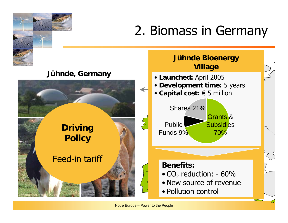# 2. Biomass in Germany

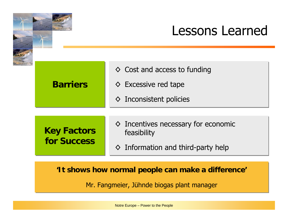### Lessons Learned

| <b>Barriers</b>                          | $\diamond$ Cost and access to funding<br>$\diamond$ Excessive red tape<br>$\diamond$ Inconsistent policies |
|------------------------------------------|------------------------------------------------------------------------------------------------------------|
| <b>Key Factors</b><br><b>for Success</b> | $\diamond$ Incentives necessary for economic<br>feasibility<br>$\diamond$ Information and third-party help |

#### **'It shows how normal people can make a difference' 'It shows how normal people can make a difference'**

Mr. Fangmeier, Jühnde biogas plant manager Mr. Fangmeier, Jühnde biogas plant manager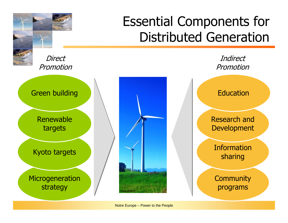

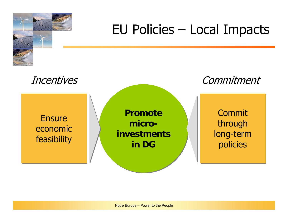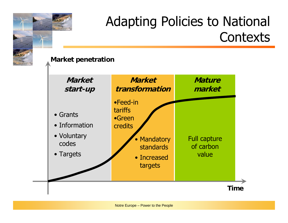# Adapting Policies to National **Contexts**

#### **Market penetration**

**Market start-up**

- Grants
- Information
- Voluntary codes
- Targets

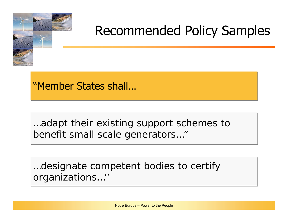

## Recommended Policy Samples

"Member States shall...

…adapt their existing support schemes to …adapt their existing support schemes to benefit small scale generators…" benefit small scale generators…"

…designate competent bodies to certify …designate competent bodies to certify organizations…'' organizations…''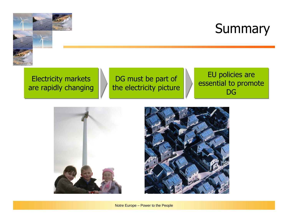

## **Summary**

Electricity markets Electricity markets are rapidly changing are rapidly changing

DG must be part of DG must be part of the electricity picture the electricity picture

EU policies are EU policies are essential to promote essential to promote  $\mathsf{D}\mathsf{G}$